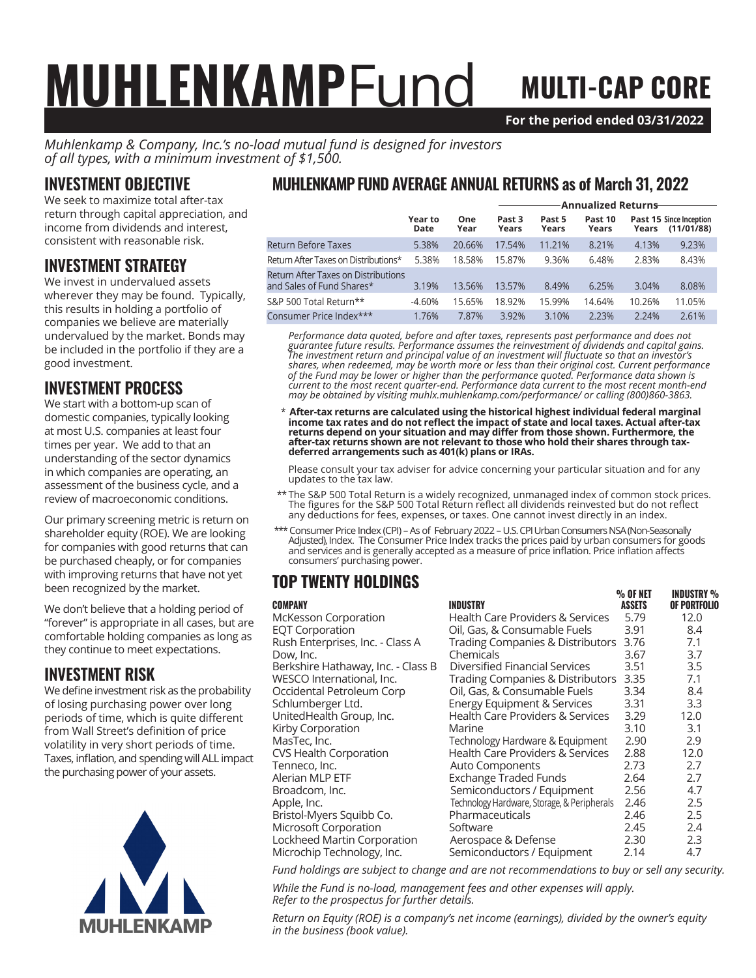# **MUHLENKAMPFUND MULTI-CAP CORE**

% OF NET INDUSTRY %

**For the period ended 03/31/2022**

*Muhlenkamp & Company, Inc.'s no-load mutual fund is designed for investors of all types, with a minimum investment of \$1,500.*

#### INVESTMENT OBJECTIVE

We seek to maximize total after-tax return through capital appreciation, and income from dividends and interest, consistent with reasonable risk.

#### INVESTMENT STRATEGY

We invest in undervalued assets wherever they may be found. Typically, this results in holding a portfolio of companies we believe are materially undervalued by the market. Bonds may be included in the portfolio if they are a good investment.

#### INVESTMENT PROCESS

We start with a bottom-up scan of domestic companies, typically looking at most U.S. companies at least four times per year. We add to that an understanding of the sector dynamics in which companies are operating, an assessment of the business cycle, and a review of macroeconomic conditions.

Our primary screening metric is return on shareholder equity (ROE). We are looking for companies with good returns that can be purchased cheaply, or for companies with improving returns that have not yet been recognized by the market.

We don't believe that a holding period of "forever" is appropriate in all cases, but are comfortable holding companies as long as they continue to meet expectations.

### INVESTMENT RISK

We define investment risk as the probability of losing purchasing power over long periods of time, which is quite different from Wall Street's definition of price volatility in very short periods of time. Taxes, inflation, and spending will ALL impact the purchasing power of your assets.



#### MUHLENKAMP FUND AVERAGE ANNUAL RETURNS as of March 31, 2022

|                                                                  |                 |             | <b>Annualized Returns</b> |                 |                  |        |                                       |
|------------------------------------------------------------------|-----------------|-------------|---------------------------|-----------------|------------------|--------|---------------------------------------|
|                                                                  | Year to<br>Date | One<br>Year | Past 3<br>Years           | Past 5<br>Years | Past 10<br>Years | Years  | Past 15 Since Inception<br>(11/01/88) |
| Return Before Taxes                                              | 5.38%           | 20.66%      | 17.54%                    | 11.21%          | 8.21%            | 4.13%  | 9.23%                                 |
| Return After Taxes on Distributions*                             | 5.38%           | 18.58%      | 15.87%                    | 9.36%           | 6.48%            | 2.83%  | 8.43%                                 |
| Return After Taxes on Distributions<br>and Sales of Fund Shares* | 3.19%           | 13.56%      | 13.57%                    | 8.49%           | 6.25%            | 3.04%  | 8.08%                                 |
| S&P 500 Total Return**                                           | $-4.60%$        | 15.65%      | 18.92%                    | 15.99%          | 14.64%           | 10.26% | 11.05%                                |
| Consumer Price Index***                                          | 1.76%           | 7.87%       | 3.92%                     | 3.10%           | 2.23%            | 2.24%  | 2.61%                                 |

*Performance data quoted, before and after taxes, represents past performance and does not guarantee future results. Performance assumes the reinvestment of dividends and capital gains. The investment return and principal value of an investment will fluctuate so that an investor's shares, when redeemed, may be worth more or less than their original cost. Current performance of the Fund may be lower or higher than the performance quoted. Performance data shown is current to the most recent quarter-end. Performance data current to the most recent month-end may be obtained by visiting muhlx.muhlenkamp.com/performance/ or calling (800)860-3863.*

 \* **After-tax returns are calculated using the historical highest individual federal marginal income tax rates and do not reflect the impact of state and local taxes. Actual after-tax returns depend on your situation and may differ from those shown. Furthermore, the after-tax returns shown are not relevant to those who hold their shares through taxdeferred arrangements such as 401(k) plans or IRAs.**

Please consult your tax adviser for advice concerning your particular situation and for any updates to the tax law.

- \*\* The S&P 500 Total Return is a widely recognized, unmanaged index of common stock prices. The figures for the S&P 500 Total Return reflect all dividends reinvested but do not reflect any deductions for fees, expenses, or taxes. One cannot invest directly in an index.
- \*\*\* Consumer Price Index (CPI) As of February 2022 U.S. CPI Urban Consumers NSA (Non-Seasonally Adjusted), Index. The Consumer Price Index tracks the prices paid by urban consumers for goods and services and is generally accepted as a measure of price inflation. Price inflation affects consumers' purchasing power.

#### TOP TWENTY HOLDINGS

| <b>COMPANY</b>                     | <b>INDUSTRY</b>                             | <b>ASSETS</b> | OF PORTFOLIO |
|------------------------------------|---------------------------------------------|---------------|--------------|
| McKesson Corporation               | Health Care Providers & Services            | 5.79          | 12.0         |
| <b>EQT Corporation</b>             | Oil, Gas, & Consumable Fuels                | 3.91          | 8.4          |
| Rush Enterprises, Inc. - Class A   | <b>Trading Companies &amp; Distributors</b> | 3.76          | 7.1          |
| Dow, Inc.                          | Chemicals                                   | 3.67          | 3.7          |
| Berkshire Hathaway, Inc. - Class B | Diversified Financial Services              | 3.51          | 3.5          |
| WESCO International, Inc.          | Trading Companies & Distributors            | 3.35          | 7.1          |
| Occidental Petroleum Corp          | Oil, Gas, & Consumable Fuels                | 3.34          | 8.4          |
| Schlumberger Ltd.                  | <b>Energy Equipment &amp; Services</b>      | 3.31          | 3.3          |
| UnitedHealth Group, Inc.           | Health Care Providers & Services            | 3.29          | 12.0         |
| Kirby Corporation                  | Marine                                      | 3.10          | 3.1          |
| MasTec, Inc.                       | Technology Hardware & Equipment             | 2.90          | 2.9          |
| CVS Health Corporation             | Health Care Providers & Services            | 2.88          | 12.0         |
| Tenneco, Inc.                      | Auto Components                             | 2.73          | 2.7          |
| Alerian MLP ETF                    | <b>Exchange Traded Funds</b>                | 2.64          | 2.7          |
| Broadcom, Inc.                     | Semiconductors / Equipment                  | 2.56          | 4.7          |
| Apple, Inc.                        | Technology Hardware, Storage, & Peripherals | 2.46          | 2.5          |
| Bristol-Myers Squibb Co.           | Pharmaceuticals                             | 2.46          | 2.5          |
| Microsoft Corporation              | Software                                    | 2.45          | 2.4          |
| Lockheed Martin Corporation        | Aerospace & Defense                         | 2.30          | 2.3          |
| Microchip Technology, Inc.         | Semiconductors / Equipment                  | 2.14          | 4.7          |

*Fund holdings are subject to change and are not recommendations to buy or sell any security.*

*While the Fund is no-load, management fees and other expenses will apply. Refer to the prospectus for further details.*

*Return on Equity (ROE) is a company's net income (earnings), divided by the owner's equity in the business (book value).*